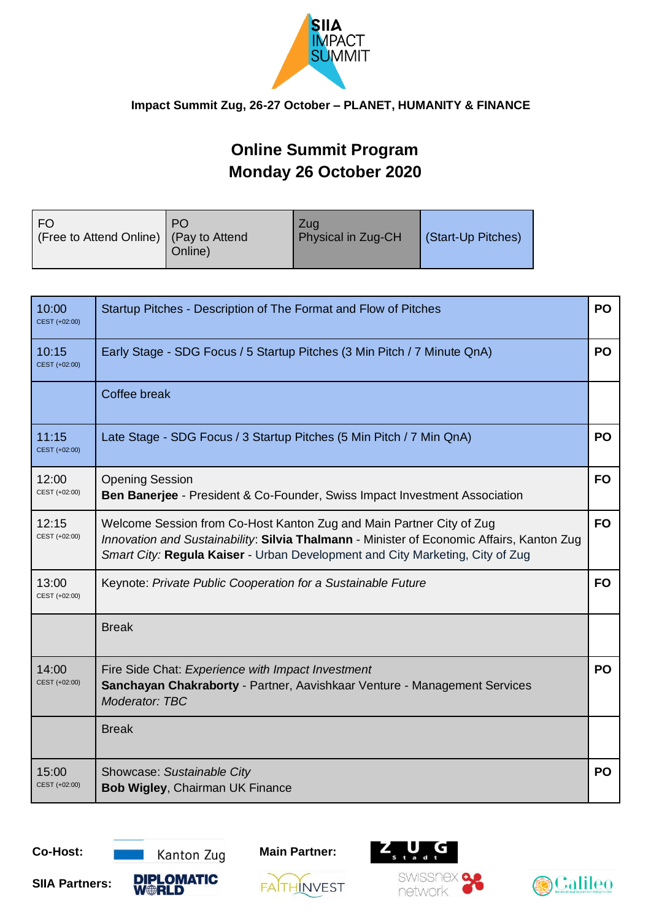

# **Online Summit Program Monday 26 October 2020**

| - FO                                     | <b>PO</b> | Zua                | (Start-Up Pitches) |
|------------------------------------------|-----------|--------------------|--------------------|
| (Free to Attend Online)   (Pay to Attend | Online)   | Physical in Zug-CH |                    |
|                                          |           |                    |                    |

| 10:00<br>CEST (+02:00) | Startup Pitches - Description of The Format and Flow of Pitches                                                                                                                                                                                    | <b>PO</b> |
|------------------------|----------------------------------------------------------------------------------------------------------------------------------------------------------------------------------------------------------------------------------------------------|-----------|
| 10:15<br>CEST (+02:00) | Early Stage - SDG Focus / 5 Startup Pitches (3 Min Pitch / 7 Minute QnA)                                                                                                                                                                           | <b>PO</b> |
|                        | Coffee break                                                                                                                                                                                                                                       |           |
| 11:15<br>CEST (+02:00) | Late Stage - SDG Focus / 3 Startup Pitches (5 Min Pitch / 7 Min QnA)                                                                                                                                                                               | PO        |
| 12:00<br>CEST (+02:00) | <b>Opening Session</b><br><b>Ben Banerjee - President &amp; Co-Founder, Swiss Impact Investment Association</b>                                                                                                                                    | <b>FO</b> |
| 12:15<br>CEST (+02:00) | Welcome Session from Co-Host Kanton Zug and Main Partner City of Zug<br>Innovation and Sustainability: Silvia Thalmann - Minister of Economic Affairs, Kanton Zug<br>Smart City: Regula Kaiser - Urban Development and City Marketing, City of Zug | <b>FO</b> |
| 13:00<br>CEST (+02:00) | Keynote: Private Public Cooperation for a Sustainable Future                                                                                                                                                                                       | <b>FO</b> |
|                        | <b>Break</b>                                                                                                                                                                                                                                       |           |
| 14:00<br>CEST (+02:00) | Fire Side Chat: Experience with Impact Investment<br>Sanchayan Chakraborty - Partner, Aavishkaar Venture - Management Services<br>Moderator: TBC                                                                                                   | <b>PO</b> |
|                        | <b>Break</b>                                                                                                                                                                                                                                       |           |
| 15:00<br>CEST (+02:00) | Showcase: Sustainable City<br><b>Bob Wigley, Chairman UK Finance</b>                                                                                                                                                                               | <b>PO</b> |

**SIIA Partners:** 







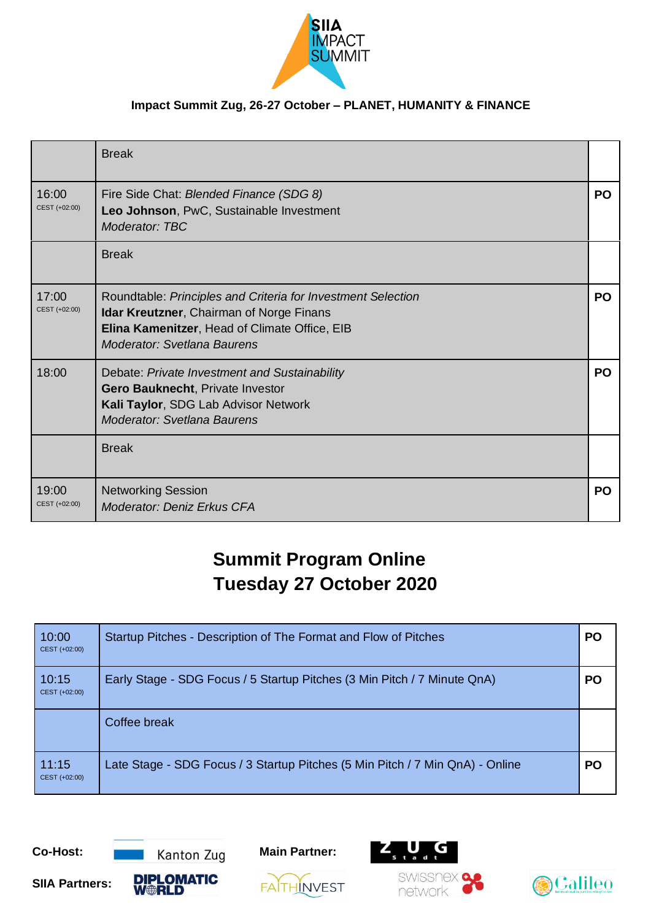

|                        | <b>Break</b>                                                                                                                                                                                           |           |
|------------------------|--------------------------------------------------------------------------------------------------------------------------------------------------------------------------------------------------------|-----------|
| 16:00<br>CEST (+02:00) | Fire Side Chat: Blended Finance (SDG 8)<br>Leo Johnson, PwC, Sustainable Investment<br>Moderator: TBC                                                                                                  | <b>PO</b> |
|                        | <b>Break</b>                                                                                                                                                                                           |           |
| 17:00<br>CEST (+02:00) | Roundtable: Principles and Criteria for Investment Selection<br><b>Idar Kreutzner, Chairman of Norge Finans</b><br>Elina Kamenitzer, Head of Climate Office, EIB<br><b>Moderator: Svetlana Baurens</b> | <b>PO</b> |
| 18:00                  | Debate: Private Investment and Sustainability<br>Gero Bauknecht, Private Investor<br>Kali Taylor, SDG Lab Advisor Network<br><b>Moderator: Svetlana Baurens</b>                                        | <b>PO</b> |
|                        | <b>Break</b>                                                                                                                                                                                           |           |
| 19:00<br>CEST (+02:00) | <b>Networking Session</b><br><b>Moderator: Deniz Erkus CFA</b>                                                                                                                                         | <b>PO</b> |

# **Summit Program Online Tuesday 27 October 2020**

| 10:00<br>CEST (+02:00) | Startup Pitches - Description of The Format and Flow of Pitches               | <b>PO</b> |
|------------------------|-------------------------------------------------------------------------------|-----------|
| 10:15<br>CEST (+02:00) | Early Stage - SDG Focus / 5 Startup Pitches (3 Min Pitch / 7 Minute QnA)      | <b>PO</b> |
|                        | Coffee break                                                                  |           |
| 11:15<br>CEST (+02:00) | Late Stage - SDG Focus / 3 Startup Pitches (5 Min Pitch / 7 Min QnA) - Online | <b>PO</b> |



**FAITHINVEST** 





**SIIA Partners:**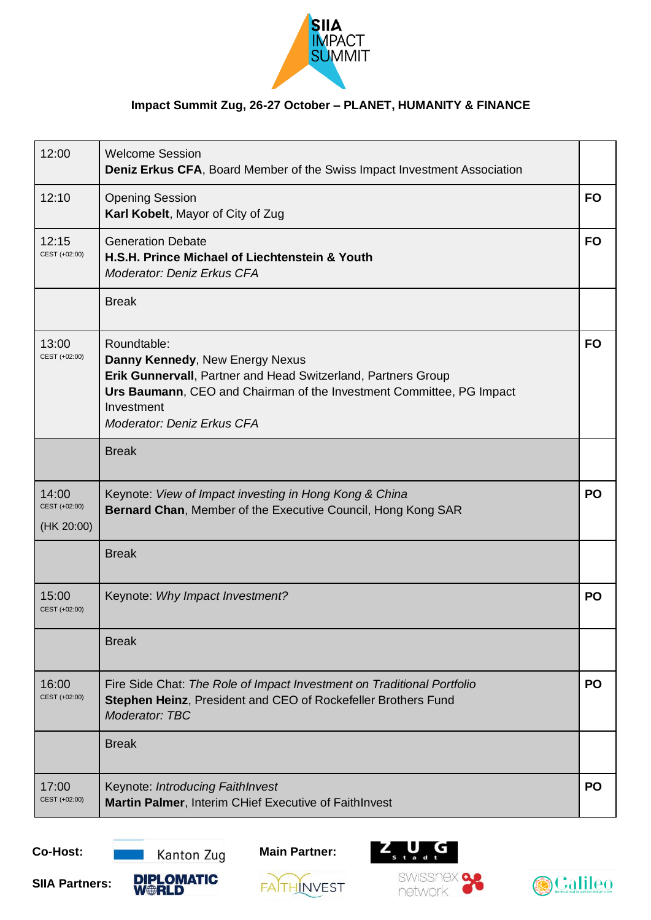

| 12:00                                | <b>Welcome Session</b><br><b>Deniz Erkus CFA, Board Member of the Swiss Impact Investment Association</b>                                                                                                                                  |           |
|--------------------------------------|--------------------------------------------------------------------------------------------------------------------------------------------------------------------------------------------------------------------------------------------|-----------|
| 12:10                                | <b>Opening Session</b><br>Karl Kobelt, Mayor of City of Zug                                                                                                                                                                                | <b>FO</b> |
| 12:15<br>CEST (+02:00)               | <b>Generation Debate</b><br>H.S.H. Prince Michael of Liechtenstein & Youth<br><b>Moderator: Deniz Erkus CFA</b>                                                                                                                            | <b>FO</b> |
|                                      | <b>Break</b>                                                                                                                                                                                                                               |           |
| 13:00<br>CEST (+02:00)               | Roundtable:<br>Danny Kennedy, New Energy Nexus<br>Erik Gunnervall, Partner and Head Switzerland, Partners Group<br>Urs Baumann, CEO and Chairman of the Investment Committee, PG Impact<br>Investment<br><b>Moderator: Deniz Erkus CFA</b> | <b>FO</b> |
|                                      | <b>Break</b>                                                                                                                                                                                                                               |           |
| 14:00<br>CEST (+02:00)<br>(HK 20:00) | Keynote: View of Impact investing in Hong Kong & China<br>Bernard Chan, Member of the Executive Council, Hong Kong SAR                                                                                                                     | PO        |
|                                      | <b>Break</b>                                                                                                                                                                                                                               |           |
| 15:00<br>CEST (+02:00)               | Keynote: Why Impact Investment?                                                                                                                                                                                                            | <b>PO</b> |
|                                      | <b>Break</b>                                                                                                                                                                                                                               |           |
| 16:00<br>CEST (+02:00)               | Fire Side Chat: The Role of Impact Investment on Traditional Portfolio<br><b>Stephen Heinz, President and CEO of Rockefeller Brothers Fund</b><br>Moderator: TBC                                                                           | PO        |
|                                      | <b>Break</b>                                                                                                                                                                                                                               |           |
| 17:00<br>CEST (+02:00)               | Keynote: Introducing FaithInvest<br>Martin Palmer, Interim CHief Executive of FaithInvest                                                                                                                                                  | <b>PO</b> |



**FAITHINVEST** 





**SIIA Partners:**